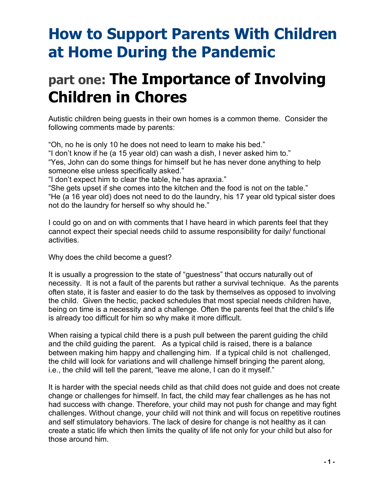# **How to Support Parents With Children at Home During the Pandemic**

# **part one: The Importance of Involving Children in Chores**

Autistic children being guests in their own homes is a common theme. Consider the following comments made by parents:

"Oh, no he is only 10 he does not need to learn to make his bed."

"I don't know if he (a 15 year old) can wash a dish, I never asked him to." "Yes, John can do some things for himself but he has never done anything to help someone else unless specifically asked."

"I don't expect him to clear the table, he has apraxia."

"She gets upset if she comes into the kitchen and the food is not on the table." "He (a 16 year old) does not need to do the laundry, his 17 year old typical sister does not do the laundry for herself so why should he."

I could go on and on with comments that I have heard in which parents feel that they cannot expect their special needs child to assume responsibility for daily/ functional activities.

Why does the child become a guest?

It is usually a progression to the state of "guestness" that occurs naturally out of necessity. It is not a fault of the parents but rather a survival technique. As the parents often state, it is faster and easier to do the task by themselves as opposed to involving the child. Given the hectic, packed schedules that most special needs children have, being on time is a necessity and a challenge. Often the parents feel that the child's life is already too difficult for him so why make it more difficult.

When raising a typical child there is a push pull between the parent guiding the child and the child guiding the parent. As a typical child is raised, there is a balance between making him happy and challenging him. If a typical child is not challenged, the child will look for variations and will challenge himself bringing the parent along, i.e., the child will tell the parent, "leave me alone, I can do it myself."

It is harder with the special needs child as that child does not guide and does not create change or challenges for himself. In fact, the child may fear challenges as he has not had success with change. Therefore, your child may not push for change and may fight challenges. Without change, your child will not think and will focus on repetitive routines and self stimulatory behaviors. The lack of desire for change is not healthy as it can create a static life which then limits the quality of life not only for your child but also for those around him.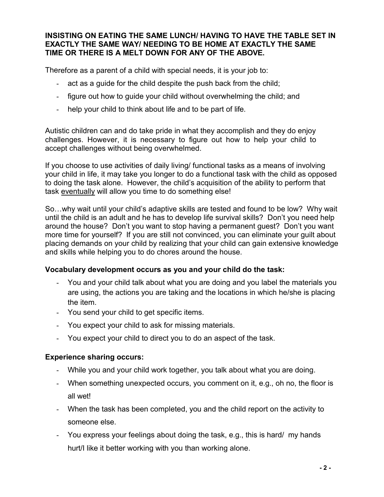#### **INSISTING ON EATING THE SAME LUNCH/ HAVING TO HAVE THE TABLE SET IN EXACTLY THE SAME WAY/ NEEDING TO BE HOME AT EXACTLY THE SAME TIME OR THERE IS A MELT DOWN FOR ANY OF THE ABOVE.**

Therefore as a parent of a child with special needs, it is your job to:

- act as a quide for the child despite the push back from the child;
- figure out how to guide your child without overwhelming the child; and
- help your child to think about life and to be part of life.

Autistic children can and do take pride in what they accomplish and they do enjoy challenges. However, it is necessary to figure out how to help your child to accept challenges without being overwhelmed.

If you choose to use activities of daily living/ functional tasks as a means of involving your child in life, it may take you longer to do a functional task with the child as opposed to doing the task alone. However, the child's acquisition of the ability to perform that task eventually will allow you time to do something else!

So…why wait until your child's adaptive skills are tested and found to be low? Why wait until the child is an adult and he has to develop life survival skills? Don't you need help around the house? Don't you want to stop having a permanent guest? Don't you want more time for yourself? If you are still not convinced, you can eliminate your guilt about placing demands on your child by realizing that your child can gain extensive knowledge and skills while helping you to do chores around the house.

#### **Vocabulary development occurs as you and your child do the task:**

- You and your child talk about what you are doing and you label the materials you are using, the actions you are taking and the locations in which he/she is placing the item.
- You send your child to get specific items.
- You expect your child to ask for missing materials.
- You expect your child to direct you to do an aspect of the task.

#### **Experience sharing occurs:**

- While you and your child work together, you talk about what you are doing.
- When something unexpected occurs, you comment on it, e.g., oh no, the floor is all wet!
- When the task has been completed, you and the child report on the activity to someone else.
- You express your feelings about doing the task, e.g., this is hard/ my hands hurt/I like it better working with you than working alone.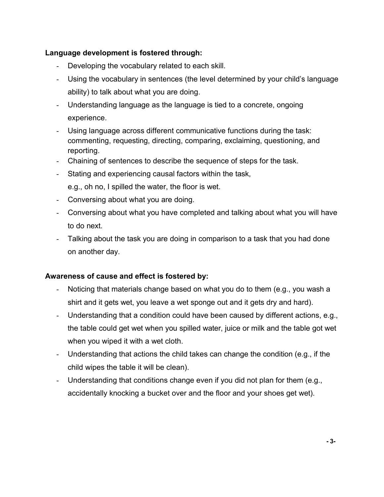# **Language development is fostered through:**

- Developing the vocabulary related to each skill.
- Using the vocabulary in sentences (the level determined by your child's language ability) to talk about what you are doing.
- Understanding language as the language is tied to a concrete, ongoing experience.
- Using language across different communicative functions during the task: commenting, requesting, directing, comparing, exclaiming, questioning, and reporting.
- Chaining of sentences to describe the sequence of steps for the task.
- Stating and experiencing causal factors within the task, e.g., oh no, I spilled the water, the floor is wet.
- Conversing about what you are doing.
- Conversing about what you have completed and talking about what you will have to do next.
- Talking about the task you are doing in comparison to a task that you had done on another day.

# **Awareness of cause and effect is fostered by:**

- Noticing that materials change based on what you do to them (e.g., you wash a shirt and it gets wet, you leave a wet sponge out and it gets dry and hard).
- Understanding that a condition could have been caused by different actions, e.g., the table could get wet when you spilled water, juice or milk and the table got wet when you wiped it with a wet cloth.
- Understanding that actions the child takes can change the condition (e.g., if the child wipes the table it will be clean).
- Understanding that conditions change even if you did not plan for them (e.g., accidentally knocking a bucket over and the floor and your shoes get wet).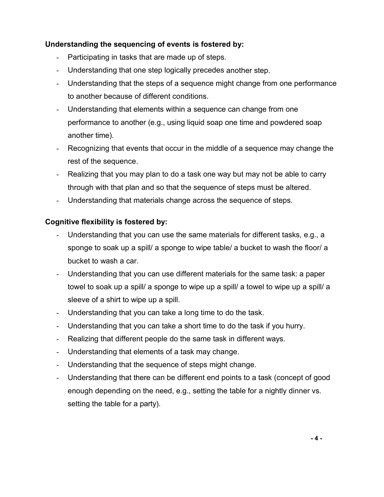# **Understanding the sequencing of events is fostered by:**

- Participating in tasks that are made up of steps.
- Understanding that one step logically precedes another step.
- Understanding that the steps of a sequence might change from one performance to another because of different conditions.
- Understanding that elements within a sequence can change from one performance to another (e.g., using liquid soap one time and powdered soap another time).
- Recognizing that events that occur in the middle of a sequence may change the rest of the sequence.
- Realizing that you may plan to do a task one way but may not be able to carry through with that plan and so that the sequence of steps must be altered.
- Understanding that materials change across the sequence of steps.

#### **Cognitive flexibility is fostered by:**

- Understanding that you can use the same materials for different tasks, e.g., a sponge to soak up a spill/ a sponge to wipe table/ a bucket to wash the floor/ a bucket to wash a car.
- Understanding that you can use different materials for the same task: a paper towel to soak up a spill/ a sponge to wipe up a spill/ a towel to wipe up a spill/ a sleeve of a shirt to wipe up a spill.
- Understanding that you can take a long time to do the task.
- Understanding that you can take a short time to do the task if you hurry.
- Realizing that different people do the same task in different ways.
- Understanding that elements of a task may change.
- Understanding that the sequence of steps might change.
- Understanding that there can be different end points to a task (concept of good enough depending on the need, e.g., setting the table for a nightly dinner vs. setting the table for a party).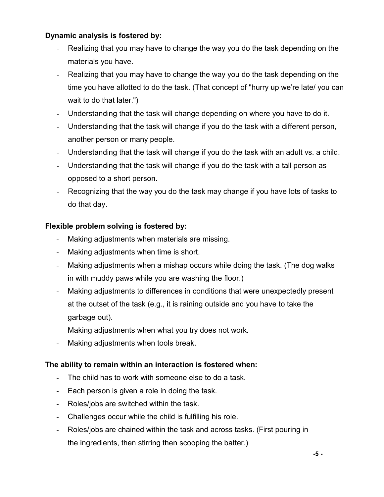# **Dynamic analysis is fostered by:**

- Realizing that you may have to change the way you do the task depending on the materials you have.
- Realizing that you may have to change the way you do the task depending on the time you have allotted to do the task. (That concept of "hurry up we're late/ you can wait to do that later.")
- Understanding that the task will change depending on where you have to do it.
- Understanding that the task will change if you do the task with a different person, another person or many people.
- Understanding that the task will change if you do the task with an adult vs. a child.
- Understanding that the task will change if you do the task with a tall person as opposed to a short person.
- Recognizing that the way you do the task may change if you have lots of tasks to do that day.

## **Flexible problem solving is fostered by:**

- Making adjustments when materials are missing.
- Making adjustments when time is short.
- Making adjustments when a mishap occurs while doing the task. (The dog walks in with muddy paws while you are washing the floor.)
- Making adjustments to differences in conditions that were unexpectedly present at the outset of the task (e.g., it is raining outside and you have to take the garbage out).
- Making adjustments when what you try does not work.
- Making adjustments when tools break.

#### **The ability to remain within an interaction is fostered when:**

- The child has to work with someone else to do a task.
- Each person is given a role in doing the task.
- Roles/jobs are switched within the task.
- Challenges occur while the child is fulfilling his role.
- Roles/jobs are chained within the task and across tasks. (First pouring in the ingredients, then stirring then scooping the batter.)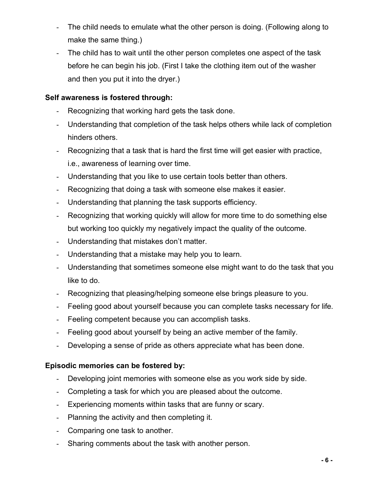- The child needs to emulate what the other person is doing. (Following along to make the same thing.)
- The child has to wait until the other person completes one aspect of the task before he can begin his job. (First I take the clothing item out of the washer and then you put it into the dryer.)

## **Self awareness is fostered through:**

- Recognizing that working hard gets the task done.
- Understanding that completion of the task helps others while lack of completion hinders others.
- Recognizing that a task that is hard the first time will get easier with practice, i.e., awareness of learning over time.
- Understanding that you like to use certain tools better than others.
- Recognizing that doing a task with someone else makes it easier.
- Understanding that planning the task supports efficiency.
- Recognizing that working quickly will allow for more time to do something else but working too quickly my negatively impact the quality of the outcome.
- Understanding that mistakes don't matter.
- Understanding that a mistake may help you to learn.
- Understanding that sometimes someone else might want to do the task that you like to do.
- Recognizing that pleasing/helping someone else brings pleasure to you.
- Feeling good about yourself because you can complete tasks necessary for life.
- Feeling competent because you can accomplish tasks.
- Feeling good about yourself by being an active member of the family.
- Developing a sense of pride as others appreciate what has been done.

## **Episodic memories can be fostered by:**

- Developing joint memories with someone else as you work side by side.
- Completing a task for which you are pleased about the outcome.
- Experiencing moments within tasks that are funny or scary.
- Planning the activity and then completing it.
- Comparing one task to another.
- Sharing comments about the task with another person.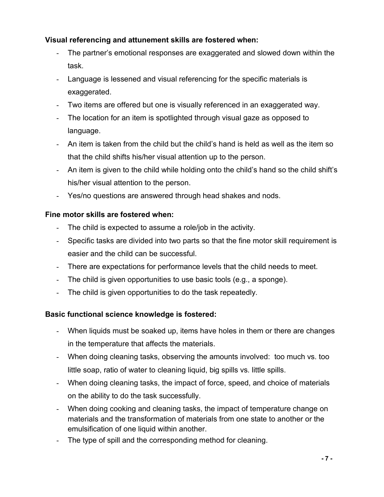# **Visual referencing and attunement skills are fostered when:**

- The partner's emotional responses are exaggerated and slowed down within the task.
- Language is lessened and visual referencing for the specific materials is exaggerated.
- Two items are offered but one is visually referenced in an exaggerated way.
- The location for an item is spotlighted through visual gaze as opposed to language.
- An item is taken from the child but the child's hand is held as well as the item so that the child shifts his/her visual attention up to the person.
- An item is given to the child while holding onto the child's hand so the child shift's his/her visual attention to the person.
- Yes/no questions are answered through head shakes and nods.

# **Fine motor skills are fostered when:**

- The child is expected to assume a role/job in the activity.
- Specific tasks are divided into two parts so that the fine motor skill requirement is easier and the child can be successful.
- There are expectations for performance levels that the child needs to meet.
- The child is given opportunities to use basic tools (e.g., a sponge).
- The child is given opportunities to do the task repeatedly.

# **Basic functional science knowledge is fostered:**

- When liquids must be soaked up, items have holes in them or there are changes in the temperature that affects the materials.
- When doing cleaning tasks, observing the amounts involved: too much vs. too little soap, ratio of water to cleaning liquid, big spills vs. little spills.
- When doing cleaning tasks, the impact of force, speed, and choice of materials on the ability to do the task successfully.
- When doing cooking and cleaning tasks, the impact of temperature change on materials and the transformation of materials from one state to another or the emulsification of one liquid within another.
- The type of spill and the corresponding method for cleaning.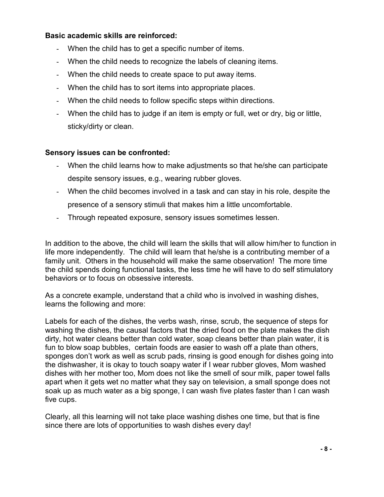#### **Basic academic skills are reinforced:**

- When the child has to get a specific number of items.
- When the child needs to recognize the labels of cleaning items.
- When the child needs to create space to put away items.
- When the child has to sort items into appropriate places.
- When the child needs to follow specific steps within directions.
- When the child has to judge if an item is empty or full, wet or dry, big or little, sticky/dirty or clean.

#### **Sensory issues can be confronted:**

- When the child learns how to make adjustments so that he/she can participate despite sensory issues, e.g., wearing rubber gloves.
- When the child becomes involved in a task and can stay in his role, despite the presence of a sensory stimuli that makes him a little uncomfortable.
- Through repeated exposure, sensory issues sometimes lessen.

In addition to the above, the child will learn the skills that will allow him/her to function in life more independently. The child will learn that he/she is a contributing member of a family unit. Others in the household will make the same observation! The more time the child spends doing functional tasks, the less time he will have to do self stimulatory behaviors or to focus on obsessive interests.

As a concrete example, understand that a child who is involved in washing dishes, learns the following and more:

Labels for each of the dishes, the verbs wash, rinse, scrub, the sequence of steps for washing the dishes, the causal factors that the dried food on the plate makes the dish dirty, hot water cleans better than cold water, soap cleans better than plain water, it is fun to blow soap bubbles, certain foods are easier to wash off a plate than others, sponges don't work as well as scrub pads, rinsing is good enough for dishes going into the dishwasher, it is okay to touch soapy water if I wear rubber gloves, Mom washed dishes with her mother too, Mom does not like the smell of sour milk, paper towel falls apart when it gets wet no matter what they say on television, a small sponge does not soak up as much water as a big sponge, I can wash five plates faster than I can wash five cups.

Clearly, all this learning will not take place washing dishes one time, but that is fine since there are lots of opportunities to wash dishes every day!